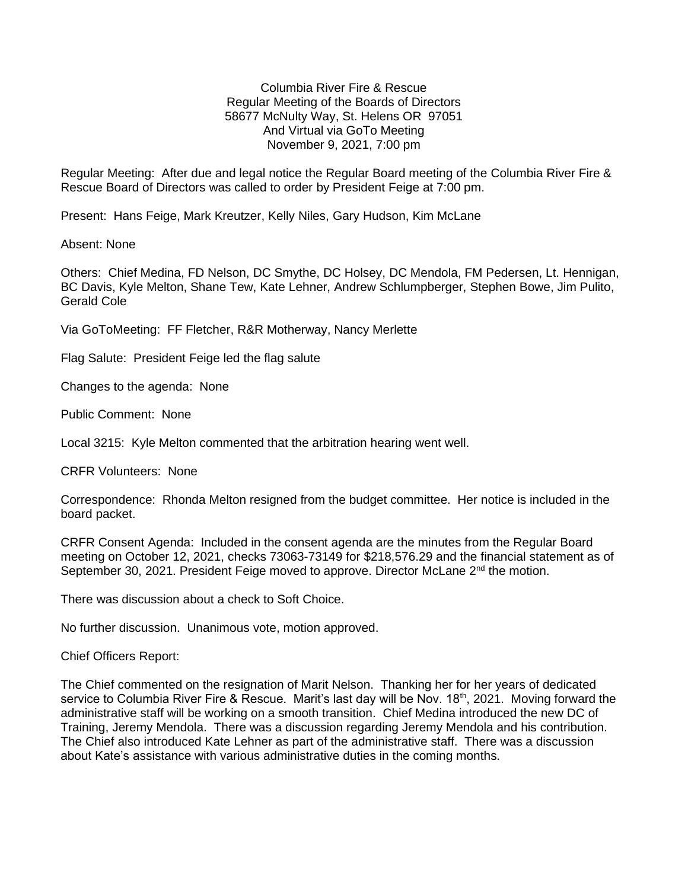Columbia River Fire & Rescue Regular Meeting of the Boards of Directors 58677 McNulty Way, St. Helens OR 97051 And Virtual via GoTo Meeting November 9, 2021, 7:00 pm

Regular Meeting: After due and legal notice the Regular Board meeting of the Columbia River Fire & Rescue Board of Directors was called to order by President Feige at 7:00 pm.

Present: Hans Feige, Mark Kreutzer, Kelly Niles, Gary Hudson, Kim McLane

Absent: None

Others: Chief Medina, FD Nelson, DC Smythe, DC Holsey, DC Mendola, FM Pedersen, Lt. Hennigan, BC Davis, Kyle Melton, Shane Tew, Kate Lehner, Andrew Schlumpberger, Stephen Bowe, Jim Pulito, Gerald Cole

Via GoToMeeting: FF Fletcher, R&R Motherway, Nancy Merlette

Flag Salute: President Feige led the flag salute

Changes to the agenda: None

Public Comment: None

Local 3215: Kyle Melton commented that the arbitration hearing went well.

CRFR Volunteers: None

Correspondence: Rhonda Melton resigned from the budget committee. Her notice is included in the board packet.

CRFR Consent Agenda: Included in the consent agenda are the minutes from the Regular Board meeting on October 12, 2021, checks 73063-73149 for \$218,576.29 and the financial statement as of September 30, 2021. President Feige moved to approve. Director McLane 2<sup>nd</sup> the motion.

There was discussion about a check to Soft Choice.

No further discussion. Unanimous vote, motion approved.

Chief Officers Report:

The Chief commented on the resignation of Marit Nelson. Thanking her for her years of dedicated service to Columbia River Fire & Rescue. Marit's last day will be Nov. 18<sup>th</sup>, 2021. Moving forward the administrative staff will be working on a smooth transition. Chief Medina introduced the new DC of Training, Jeremy Mendola. There was a discussion regarding Jeremy Mendola and his contribution. The Chief also introduced Kate Lehner as part of the administrative staff. There was a discussion about Kate's assistance with various administrative duties in the coming months.